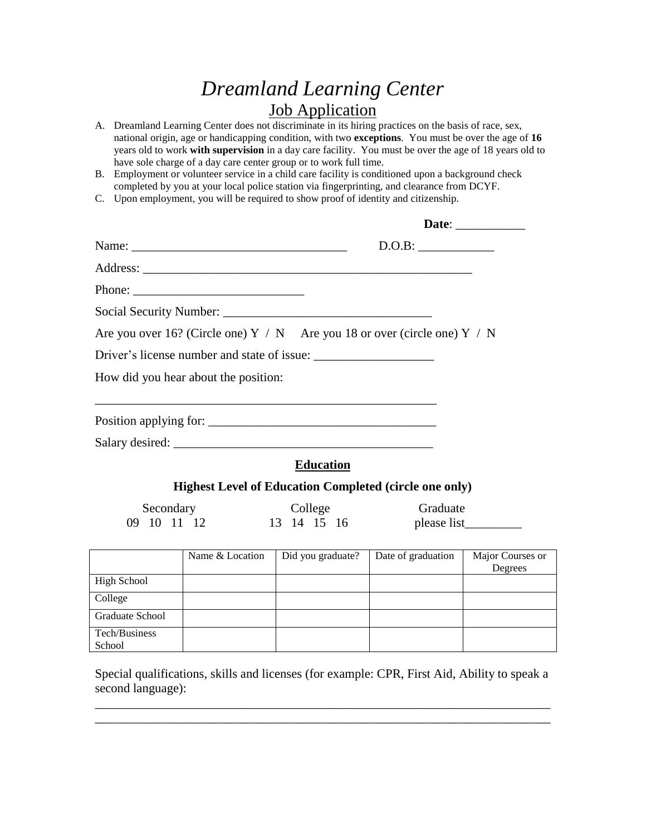## *Dreamland Learning Center* **Job Application**

- A. Dreamland Learning Center does not discriminate in its hiring practices on the basis of race, sex, national origin, age or handicapping condition, with two **exceptions**. You must be over the age of **16** years old to work **with supervision** in a day care facility. You must be over the age of 18 years old to have sole charge of a day care center group or to work full time.
- B. Employment or volunteer service in a child care facility is conditioned upon a background check completed by you at your local police station via fingerprinting, and clearance from DCYF.
- C. Upon employment, you will be required to show proof of identity and citizenship.

|                          | Name:                                                                                                                                                                                                                                                                                                                                                                                                        |                        | D.O.B:                                                                        |                             |
|--------------------------|--------------------------------------------------------------------------------------------------------------------------------------------------------------------------------------------------------------------------------------------------------------------------------------------------------------------------------------------------------------------------------------------------------------|------------------------|-------------------------------------------------------------------------------|-----------------------------|
|                          |                                                                                                                                                                                                                                                                                                                                                                                                              |                        |                                                                               |                             |
|                          | Phone: $\frac{1}{\sqrt{1-\frac{1}{2}}\sqrt{1-\frac{1}{2}}\sqrt{1-\frac{1}{2}}\sqrt{1-\frac{1}{2}}\sqrt{1-\frac{1}{2}}\sqrt{1-\frac{1}{2}}\sqrt{1-\frac{1}{2}}\sqrt{1-\frac{1}{2}}\sqrt{1-\frac{1}{2}}\sqrt{1-\frac{1}{2}}\sqrt{1-\frac{1}{2}}\sqrt{1-\frac{1}{2}}\sqrt{1-\frac{1}{2}}\sqrt{1-\frac{1}{2}}\sqrt{1-\frac{1}{2}}\sqrt{1-\frac{1}{2}}\sqrt{1-\frac{1}{2}}\sqrt{1-\frac{1}{2}}\sqrt{1-\frac{1}{2$ |                        |                                                                               |                             |
|                          |                                                                                                                                                                                                                                                                                                                                                                                                              |                        |                                                                               |                             |
|                          |                                                                                                                                                                                                                                                                                                                                                                                                              |                        | Are you over 16? (Circle one) $Y / N$ Are you 18 or over (circle one) $Y / N$ |                             |
|                          |                                                                                                                                                                                                                                                                                                                                                                                                              |                        |                                                                               |                             |
|                          | How did you hear about the position:                                                                                                                                                                                                                                                                                                                                                                         |                        |                                                                               |                             |
|                          |                                                                                                                                                                                                                                                                                                                                                                                                              |                        |                                                                               |                             |
|                          |                                                                                                                                                                                                                                                                                                                                                                                                              |                        |                                                                               |                             |
|                          |                                                                                                                                                                                                                                                                                                                                                                                                              |                        |                                                                               |                             |
|                          |                                                                                                                                                                                                                                                                                                                                                                                                              | <b>Education</b>       |                                                                               |                             |
|                          |                                                                                                                                                                                                                                                                                                                                                                                                              |                        | <b>Highest Level of Education Completed (circle one only)</b>                 |                             |
| Secondary<br>09 10 11 12 |                                                                                                                                                                                                                                                                                                                                                                                                              | College<br>13 14 15 16 | Graduate                                                                      |                             |
|                          | Name & Location                                                                                                                                                                                                                                                                                                                                                                                              | Did you graduate?      | Date of graduation                                                            | Major Courses or<br>Degrees |
| High School              |                                                                                                                                                                                                                                                                                                                                                                                                              |                        |                                                                               |                             |
| College                  |                                                                                                                                                                                                                                                                                                                                                                                                              |                        |                                                                               |                             |
| <b>Graduate School</b>   |                                                                                                                                                                                                                                                                                                                                                                                                              |                        |                                                                               |                             |
| Tech/Business            |                                                                                                                                                                                                                                                                                                                                                                                                              |                        |                                                                               |                             |

Special qualifications, skills and licenses (for example: CPR, First Aid, Ability to speak a second language):

\_\_\_\_\_\_\_\_\_\_\_\_\_\_\_\_\_\_\_\_\_\_\_\_\_\_\_\_\_\_\_\_\_\_\_\_\_\_\_\_\_\_\_\_\_\_\_\_\_\_\_\_\_\_\_\_\_\_\_\_\_\_\_\_\_\_\_\_\_\_\_\_ \_\_\_\_\_\_\_\_\_\_\_\_\_\_\_\_\_\_\_\_\_\_\_\_\_\_\_\_\_\_\_\_\_\_\_\_\_\_\_\_\_\_\_\_\_\_\_\_\_\_\_\_\_\_\_\_\_\_\_\_\_\_\_\_\_\_\_\_\_\_\_\_

School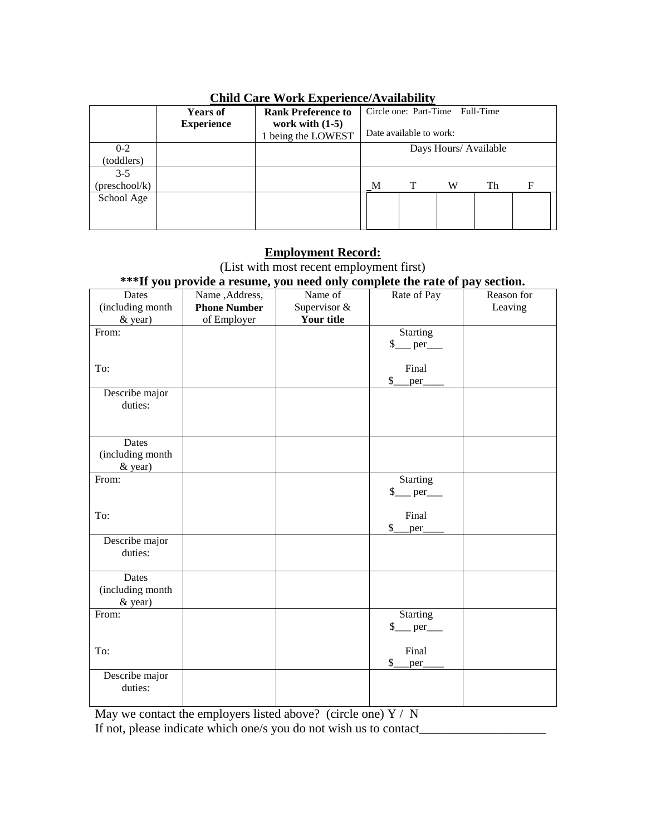| China Care Worn Enperience of Analysine |                   |                           |                         |  |                                 |    |   |
|-----------------------------------------|-------------------|---------------------------|-------------------------|--|---------------------------------|----|---|
|                                         | <b>Years of</b>   | <b>Rank Preference to</b> |                         |  | Circle one: Part-Time Full-Time |    |   |
|                                         | <b>Experience</b> | work with $(1-5)$         |                         |  |                                 |    |   |
|                                         |                   | being the LOWEST          | Date available to work: |  |                                 |    |   |
| $0 - 2$                                 |                   |                           | Days Hours/ Available   |  |                                 |    |   |
| (toddlers)                              |                   |                           |                         |  |                                 |    |   |
| $3 - 5$                                 |                   |                           |                         |  |                                 |    |   |
| (preschool/k)                           |                   |                           | M                       |  | W                               | Th | F |
| School Age                              |                   |                           |                         |  |                                 |    |   |
|                                         |                   |                           |                         |  |                                 |    |   |
|                                         |                   |                           |                         |  |                                 |    |   |

#### **Child Care Work Experience/Availability**

#### **Employment Record:**

(List with most recent employment first)

### **\*\*\*If you provide a resume, you need only complete the rate of pay section.**

| Dates                     | Name, Address,      | Name of      | Rate of Pay                                       | Reason for |
|---------------------------|---------------------|--------------|---------------------------------------------------|------------|
| (including month          | <b>Phone Number</b> | Supervisor & |                                                   | Leaving    |
| & year)                   | of Employer         | Your title   |                                                   |            |
| From:                     |                     |              | <b>Starting</b>                                   |            |
|                           |                     |              | $\frac{1}{2}$<br>perr                             |            |
|                           |                     |              |                                                   |            |
| To:                       |                     |              | Final                                             |            |
|                           |                     |              | \$<br>per                                         |            |
| Describe major            |                     |              |                                                   |            |
| duties:                   |                     |              |                                                   |            |
|                           |                     |              |                                                   |            |
|                           |                     |              |                                                   |            |
| Dates                     |                     |              |                                                   |            |
| (including month          |                     |              |                                                   |            |
| & year)                   |                     |              |                                                   |            |
| From:                     |                     |              | <b>Starting</b>                                   |            |
|                           |                     |              | $\frac{\$ {S_{\dots}}}{\pi} per $\frac{\pi}{\pi}$ |            |
|                           |                     |              |                                                   |            |
| To:                       |                     |              | Final                                             |            |
|                           |                     |              | \$<br>per                                         |            |
| Describe major<br>duties: |                     |              |                                                   |            |
|                           |                     |              |                                                   |            |
| Dates                     |                     |              |                                                   |            |
| (including month          |                     |              |                                                   |            |
| & year)                   |                     |              |                                                   |            |
| From:                     |                     |              | Starting                                          |            |
|                           |                     |              | \$<br>perr                                        |            |
|                           |                     |              |                                                   |            |
| To:                       |                     |              | Final                                             |            |
|                           |                     |              | \$<br>per                                         |            |
| Describe major            |                     |              |                                                   |            |
| duties:                   |                     |              |                                                   |            |
|                           |                     |              |                                                   |            |

May we contact the employers listed above? (circle one)  $Y / N$ If not, please indicate which one/s you do not wish us to contact\_\_\_\_\_\_\_\_\_\_\_\_\_\_\_\_\_\_\_\_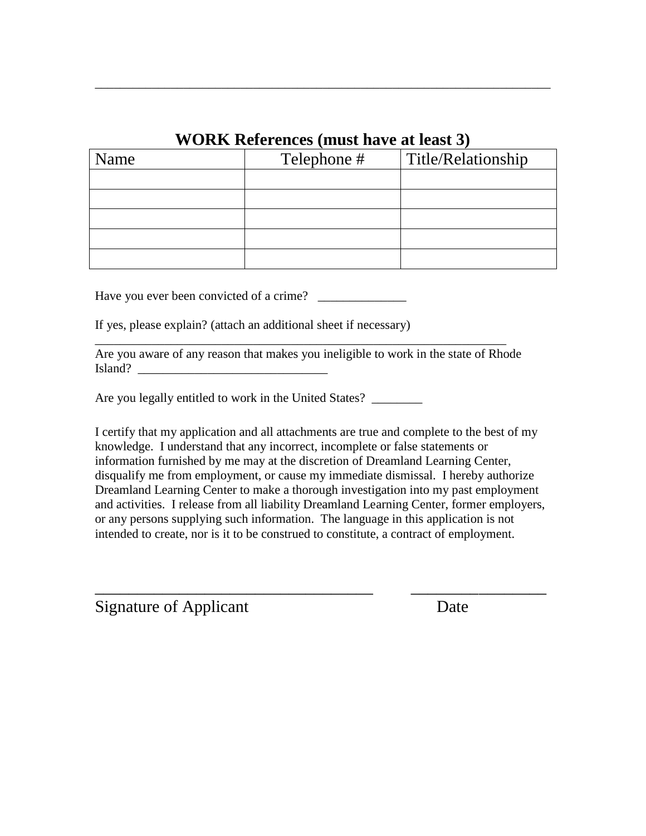### **WORK References (must have at least 3)**

\_\_\_\_\_\_\_\_\_\_\_\_\_\_\_\_\_\_\_\_\_\_\_\_\_\_\_\_\_\_\_\_\_\_\_\_\_\_\_\_\_\_\_\_\_\_\_\_\_\_\_\_\_\_\_\_\_\_\_\_\_\_\_\_\_\_\_\_\_\_\_\_

| Name | Telephone # | Title/Relationship |
|------|-------------|--------------------|
|      |             |                    |
|      |             |                    |
|      |             |                    |
|      |             |                    |
|      |             |                    |

Have you ever been convicted of a crime? \_\_\_\_\_\_\_\_\_\_\_\_\_\_

If yes, please explain? (attach an additional sheet if necessary)

|         | Are you aware of any reason that makes you ineligible to work in the state of Rhode |  |  |
|---------|-------------------------------------------------------------------------------------|--|--|
| Island? |                                                                                     |  |  |

\_\_\_\_\_\_\_\_\_\_\_\_\_\_\_\_\_\_\_\_\_\_\_\_\_\_\_\_\_\_\_\_\_\_\_\_\_\_\_\_\_\_\_\_\_\_\_\_\_\_\_\_\_\_\_\_\_\_\_\_\_\_\_\_\_

Are you legally entitled to work in the United States? \_\_\_\_\_\_\_\_

I certify that my application and all attachments are true and complete to the best of my knowledge. I understand that any incorrect, incomplete or false statements or information furnished by me may at the discretion of Dreamland Learning Center, disqualify me from employment, or cause my immediate dismissal. I hereby authorize Dreamland Learning Center to make a thorough investigation into my past employment and activities. I release from all liability Dreamland Learning Center, former employers, or any persons supplying such information. The language in this application is not intended to create, nor is it to be construed to constitute, a contract of employment.

\_\_\_\_\_\_\_\_\_\_\_\_\_\_\_\_\_\_\_\_\_\_\_\_\_\_\_\_\_\_\_\_\_ \_\_\_\_\_\_\_\_\_\_\_\_\_\_\_\_

Signature of Applicant Date